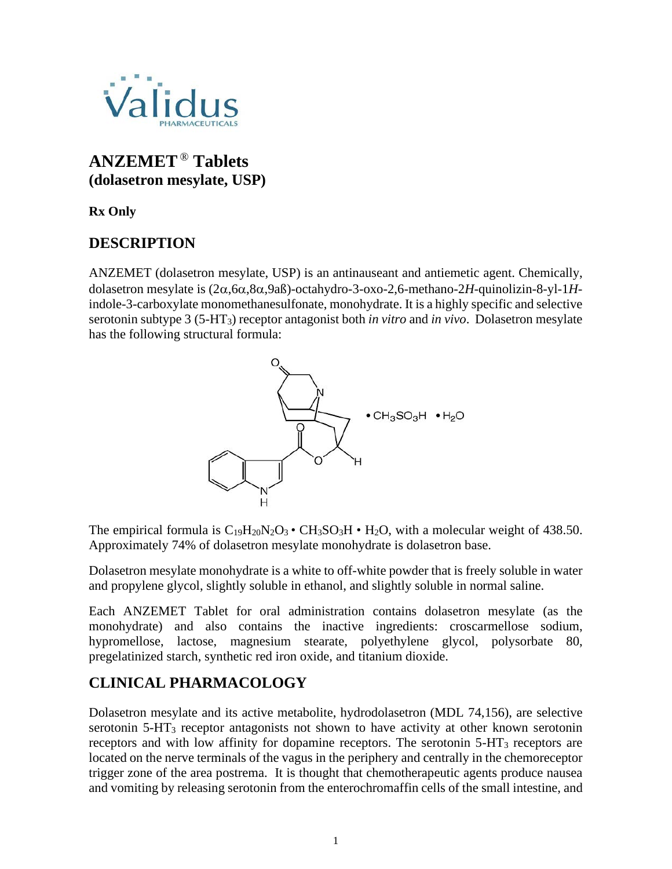

# **ANZEMET** ® **Tablets (dolasetron mesylate, USP)**

**Rx Only**

# **DESCRIPTION**

ANZEMET (dolasetron mesylate, USP) is an antinauseant and antiemetic agent. Chemically, dolasetron mesylate is (2α,6α,8α,9aß)-octahydro-3-oxo-2,6-methano-2*H*-quinolizin-8-yl-1*H*indole-3-carboxylate monomethanesulfonate, monohydrate. It is a highly specific and selective serotonin subtype 3 (5-HT3) receptor antagonist both *in vitro* and *in vivo*. Dolasetron mesylate has the following structural formula:



The empirical formula is  $C_{19}H_{20}N_2O_3 \cdot CH_3SO_3H \cdot H_2O$ , with a molecular weight of 438.50. Approximately 74% of dolasetron mesylate monohydrate is dolasetron base.

Dolasetron mesylate monohydrate is a white to off-white powder that is freely soluble in water and propylene glycol, slightly soluble in ethanol, and slightly soluble in normal saline.

Each ANZEMET Tablet for oral administration contains dolasetron mesylate (as the monohydrate) and also contains the inactive ingredients: croscarmellose sodium, hypromellose, lactose, magnesium stearate, polyethylene glycol, polysorbate 80, pregelatinized starch, synthetic red iron oxide, and titanium dioxide.

# **CLINICAL PHARMACOLOGY**

Dolasetron mesylate and its active metabolite, hydrodolasetron (MDL 74,156), are selective serotonin 5-HT3 receptor antagonists not shown to have activity at other known serotonin receptors and with low affinity for dopamine receptors. The serotonin 5-HT3 receptors are located on the nerve terminals of the vagus in the periphery and centrally in the chemoreceptor trigger zone of the area postrema. It is thought that chemotherapeutic agents produce nausea and vomiting by releasing serotonin from the enterochromaffin cells of the small intestine, and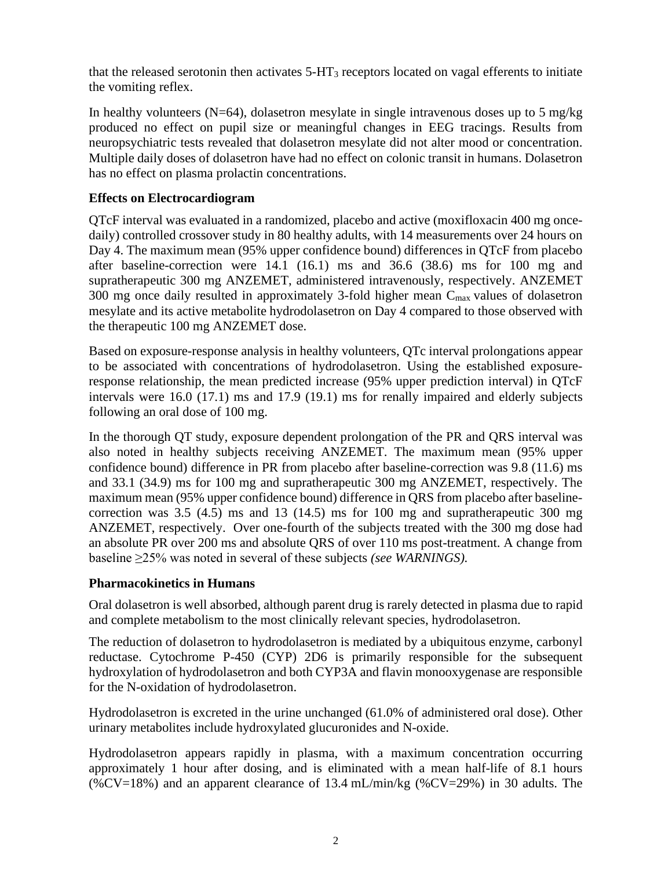that the released serotonin then activates 5-HT3 receptors located on vagal efferents to initiate the vomiting reflex.

In healthy volunteers ( $N=64$ ), dolasetron mesylate in single intravenous doses up to 5 mg/kg produced no effect on pupil size or meaningful changes in EEG tracings. Results from neuropsychiatric tests revealed that dolasetron mesylate did not alter mood or concentration. Multiple daily doses of dolasetron have had no effect on colonic transit in humans. Dolasetron has no effect on plasma prolactin concentrations.

### **Effects on Electrocardiogram**

QTcF interval was evaluated in a randomized, placebo and active (moxifloxacin 400 mg oncedaily) controlled crossover study in 80 healthy adults, with 14 measurements over 24 hours on Day 4. The maximum mean (95% upper confidence bound) differences in QTcF from placebo after baseline-correction were 14.1 (16.1) ms and 36.6 (38.6) ms for 100 mg and supratherapeutic 300 mg ANZEMET, administered intravenously, respectively. ANZEMET 300 mg once daily resulted in approximately 3-fold higher mean  $C_{\text{max}}$  values of dolasetron mesylate and its active metabolite hydrodolasetron on Day 4 compared to those observed with the therapeutic 100 mg ANZEMET dose.

Based on exposure-response analysis in healthy volunteers, QTc interval prolongations appear to be associated with concentrations of hydrodolasetron. Using the established exposureresponse relationship, the mean predicted increase (95% upper prediction interval) in QTcF intervals were 16.0 (17.1) ms and 17.9 (19.1) ms for renally impaired and elderly subjects following an oral dose of 100 mg.

In the thorough QT study, exposure dependent prolongation of the PR and QRS interval was also noted in healthy subjects receiving ANZEMET. The maximum mean (95% upper confidence bound) difference in PR from placebo after baseline-correction was 9.8 (11.6) ms and 33.1 (34.9) ms for 100 mg and supratherapeutic 300 mg ANZEMET, respectively. The maximum mean (95% upper confidence bound) difference in QRS from placebo after baselinecorrection was 3.5 (4.5) ms and 13 (14.5) ms for 100 mg and supratherapeutic 300 mg ANZEMET, respectively. Over one-fourth of the subjects treated with the 300 mg dose had an absolute PR over 200 ms and absolute QRS of over 110 ms post-treatment. A change from baseline ≥25% was noted in several of these subjects *(see WARNINGS).*

#### **Pharmacokinetics in Humans**

Oral dolasetron is well absorbed, although parent drug is rarely detected in plasma due to rapid and complete metabolism to the most clinically relevant species, hydrodolasetron.

The reduction of dolasetron to hydrodolasetron is mediated by a ubiquitous enzyme, carbonyl reductase. Cytochrome P-450 (CYP) 2D6 is primarily responsible for the subsequent hydroxylation of hydrodolasetron and both CYP3A and flavin monooxygenase are responsible for the N-oxidation of hydrodolasetron.

Hydrodolasetron is excreted in the urine unchanged (61.0% of administered oral dose). Other urinary metabolites include hydroxylated glucuronides and N-oxide.

Hydrodolasetron appears rapidly in plasma, with a maximum concentration occurring approximately 1 hour after dosing, and is eliminated with a mean half-life of 8.1 hours (%CV=18%) and an apparent clearance of 13.4 mL/min/kg (%CV=29%) in 30 adults. The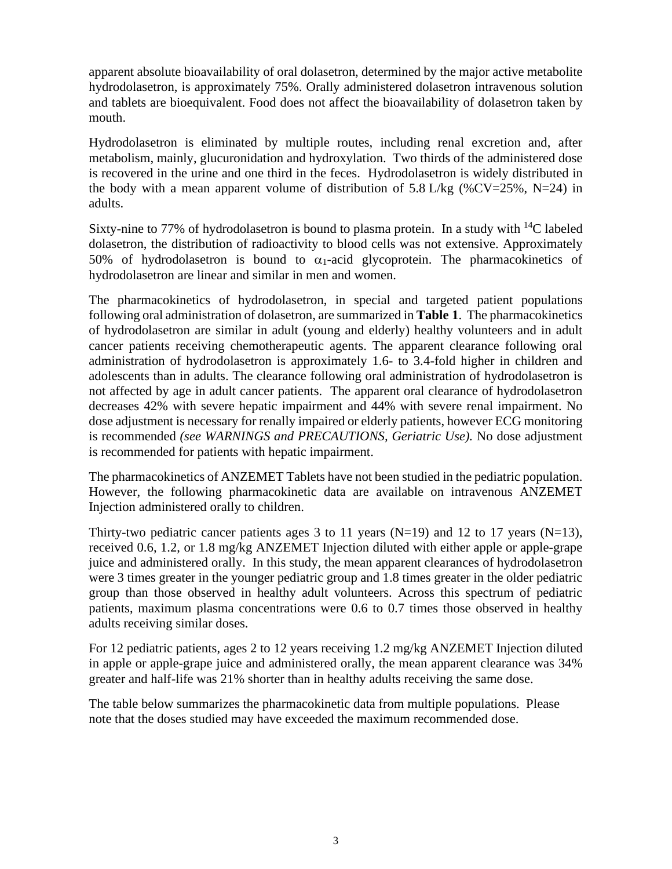apparent absolute bioavailability of oral dolasetron, determined by the major active metabolite hydrodolasetron, is approximately 75%. Orally administered dolasetron intravenous solution and tablets are bioequivalent. Food does not affect the bioavailability of dolasetron taken by mouth.

Hydrodolasetron is eliminated by multiple routes, including renal excretion and, after metabolism, mainly, glucuronidation and hydroxylation. Two thirds of the administered dose is recovered in the urine and one third in the feces. Hydrodolasetron is widely distributed in the body with a mean apparent volume of distribution of  $5.8$  L/kg (%CV=25%, N=24) in adults.

Sixty-nine to 77% of hydrodolasetron is bound to plasma protein. In a study with  $^{14}C$  labeled dolasetron, the distribution of radioactivity to blood cells was not extensive. Approximately 50% of hydrodolasetron is bound to  $\alpha_1$ -acid glycoprotein. The pharmacokinetics of hydrodolasetron are linear and similar in men and women.

The pharmacokinetics of hydrodolasetron, in special and targeted patient populations following oral administration of dolasetron, are summarized in **Table 1**. The pharmacokinetics of hydrodolasetron are similar in adult (young and elderly) healthy volunteers and in adult cancer patients receiving chemotherapeutic agents. The apparent clearance following oral administration of hydrodolasetron is approximately 1.6- to 3.4-fold higher in children and adolescents than in adults. The clearance following oral administration of hydrodolasetron is not affected by age in adult cancer patients. The apparent oral clearance of hydrodolasetron decreases 42% with severe hepatic impairment and 44% with severe renal impairment. No dose adjustment is necessary for renally impaired or elderly patients, however ECG monitoring is recommended *(see WARNINGS and PRECAUTIONS, Geriatric Use).* No dose adjustment is recommended for patients with hepatic impairment.

The pharmacokinetics of ANZEMET Tablets have not been studied in the pediatric population. However, the following pharmacokinetic data are available on intravenous ANZEMET Injection administered orally to children.

Thirty-two pediatric cancer patients ages 3 to 11 years (N=19) and 12 to 17 years (N=13), received 0.6, 1.2, or 1.8 mg/kg ANZEMET Injection diluted with either apple or apple-grape juice and administered orally. In this study, the mean apparent clearances of hydrodolasetron were 3 times greater in the younger pediatric group and 1.8 times greater in the older pediatric group than those observed in healthy adult volunteers. Across this spectrum of pediatric patients, maximum plasma concentrations were 0.6 to 0.7 times those observed in healthy adults receiving similar doses.

For 12 pediatric patients, ages 2 to 12 years receiving 1.2 mg/kg ANZEMET Injection diluted in apple or apple-grape juice and administered orally, the mean apparent clearance was 34% greater and half-life was 21% shorter than in healthy adults receiving the same dose.

The table below summarizes the pharmacokinetic data from multiple populations. Please note that the doses studied may have exceeded the maximum recommended dose.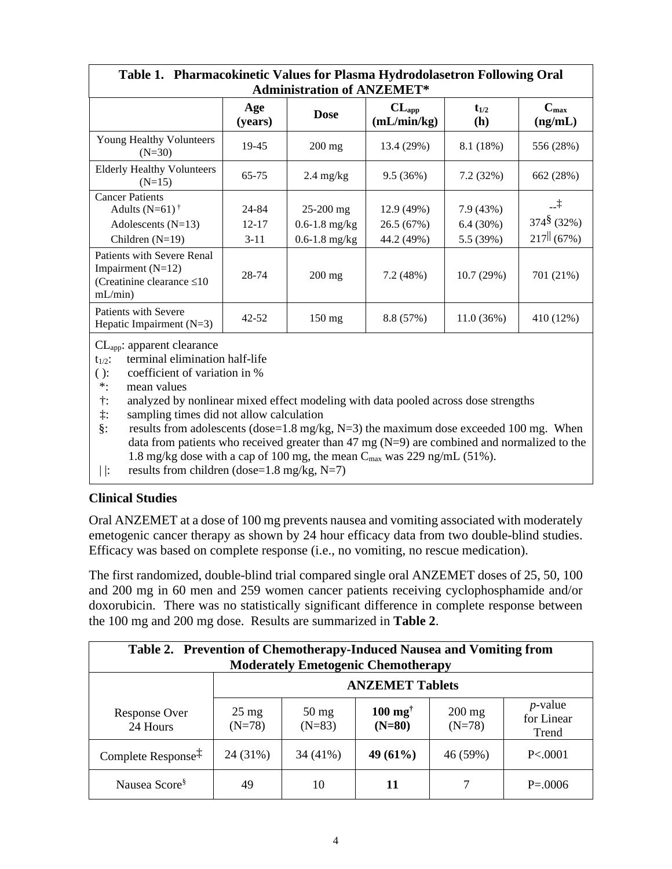| Table 1. Pharmacokinetic Values for Plasma Hydrodolasetron Following Oral<br><b>Administration of ANZEMET*</b> |                |                     |                           |                  |                                               |
|----------------------------------------------------------------------------------------------------------------|----------------|---------------------|---------------------------|------------------|-----------------------------------------------|
|                                                                                                                | Age<br>(years) | <b>Dose</b>         | $CL_{app}$<br>(mL/min/kg) | $t_{1/2}$<br>(h) | $C_{\text{max}}$<br>(ng/mL)                   |
| <b>Young Healthy Volunteers</b><br>$(N=30)$                                                                    | 19-45          | $200 \text{ mg}$    | 13.4 (29%)                | 8.1 (18%)        | 556 (28%)                                     |
| <b>Elderly Healthy Volunteers</b><br>$(N=15)$                                                                  | $65 - 75$      | $2.4 \text{ mg/kg}$ | 9.5(36%)                  | 7.2(32%)         | 662 (28%)                                     |
| <b>Cancer Patients</b>                                                                                         |                |                     |                           |                  |                                               |
| Adults $(N=61)$ <sup>†</sup>                                                                                   | 24-84          | $25-200$ mg         | 12.9 (49%)                | 7.9(43%)         | $-1$                                          |
| Adolescents $(N=13)$                                                                                           | $12 - 17$      | $0.6 - 1.8$ mg/kg   | 26.5(67%)                 | 6.4(30%)         | $374\frac{8}{3}$ (32%)                        |
| Children $(N=19)$                                                                                              | $3 - 11$       | $0.6 - 1.8$ mg/kg   | 44.2 (49%)                | 5.5 (39%)        | $217$ <sup><math>\parallel</math></sup> (67%) |
| Patients with Severe Renal<br>Impairment $(N=12)$<br>(Creatinine clearance $\leq 10$<br>mL/min                 | 28-74          | $200 \text{ mg}$    | 7.2 (48%)                 | 10.7(29%)        | 701 (21%)                                     |
| Patients with Severe<br>Hepatic Impairment $(N=3)$                                                             | $42 - 52$      | $150 \text{ mg}$    | 8.8(57%)                  | 11.0(36%)        | 410 (12%)                                     |

CLapp: apparent clearance

- $t_{1/2}$ : terminal elimination half-life
- ( ): coefficient of variation in %<br>\*: mean values
- mean values
- †: analyzed by nonlinear mixed effect modeling with data pooled across dose strengths
- ‡: sampling times did not allow calculation

§: results from adolescents (dose=1.8 mg/kg, N=3) the maximum dose exceeded 100 mg. When data from patients who received greater than 47 mg (N=9) are combined and normalized to the 1.8 mg/kg dose with a cap of 100 mg, the mean  $C_{\text{max}}$  was 229 ng/mL (51%).

|  $\vert$ : results from children (dose=1.8 mg/kg, N=7)

#### **Clinical Studies**

Oral ANZEMET at a dose of 100 mg prevents nausea and vomiting associated with moderately emetogenic cancer therapy as shown by 24 hour efficacy data from two double-blind studies. Efficacy was based on complete response (i.e., no vomiting, no rescue medication).

The first randomized, double-blind trial compared single oral ANZEMET doses of 25, 50, 100 and 200 mg in 60 men and 259 women cancer patients receiving cyclophosphamide and/or doxorubicin. There was no statistically significant difference in complete response between the 100 mg and 200 mg dose. Results are summarized in **Table 2**.

| Table 2. Prevention of Chemotherapy-Induced Nausea and Vomiting from<br><b>Moderately Emetogenic Chemotherapy</b> |                             |                             |                                        |                      |                                   |
|-------------------------------------------------------------------------------------------------------------------|-----------------------------|-----------------------------|----------------------------------------|----------------------|-----------------------------------|
|                                                                                                                   | <b>ANZEMET Tablets</b>      |                             |                                        |                      |                                   |
| Response Over<br>24 Hours                                                                                         | $25 \text{ mg}$<br>$(N=78)$ | $50 \text{ mg}$<br>$(N=83)$ | $100 \text{ mg}^{\dagger}$<br>$(N=80)$ | $200$ mg<br>$(N=78)$ | $p$ -value<br>for Linear<br>Trend |
| Complete Response <sup>‡</sup>                                                                                    | 24 (31%)                    | 34 (41%)                    | 49 (61%)                               | 46 (59%)             | P< 0001                           |
| Nausea Score <sup>§</sup>                                                                                         | 49                          | 10                          | 11                                     |                      | $P = 0.0006$                      |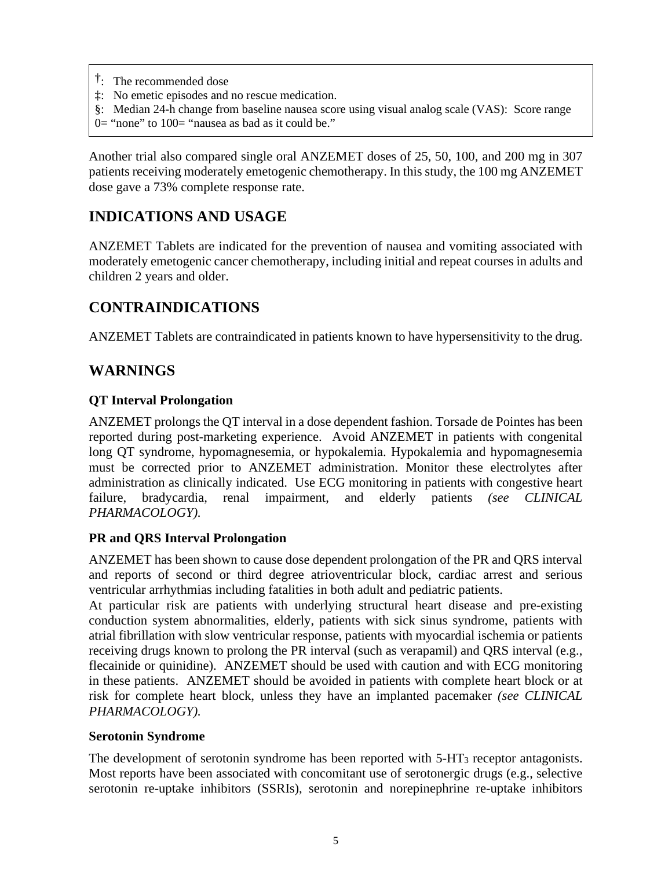- †: The recommended dose
- ‡: No emetic episodes and no rescue medication.
- §: Median 24-h change from baseline nausea score using visual analog scale (VAS): Score range
- $0=$  "none" to  $100=$  "nausea as bad as it could be."

Another trial also compared single oral ANZEMET doses of 25, 50, 100, and 200 mg in 307 patients receiving moderately emetogenic chemotherapy. In this study, the 100 mg ANZEMET dose gave a 73% complete response rate.

## **INDICATIONS AND USAGE**

ANZEMET Tablets are indicated for the prevention of nausea and vomiting associated with moderately emetogenic cancer chemotherapy, including initial and repeat courses in adults and children 2 years and older.

### **CONTRAINDICATIONS**

ANZEMET Tablets are contraindicated in patients known to have hypersensitivity to the drug.

### **WARNINGS**

#### **QT Interval Prolongation**

ANZEMET prolongs the QT interval in a dose dependent fashion. Torsade de Pointes has been reported during post-marketing experience. Avoid ANZEMET in patients with congenital long QT syndrome, hypomagnesemia, or hypokalemia. Hypokalemia and hypomagnesemia must be corrected prior to ANZEMET administration. Monitor these electrolytes after administration as clinically indicated. Use ECG monitoring in patients with congestive heart failure, bradycardia, renal impairment, and elderly patients *(see CLINICAL PHARMACOLOGY).*

#### **PR and QRS Interval Prolongation**

ANZEMET has been shown to cause dose dependent prolongation of the PR and QRS interval and reports of second or third degree atrioventricular block, cardiac arrest and serious ventricular arrhythmias including fatalities in both adult and pediatric patients.

At particular risk are patients with underlying structural heart disease and pre-existing conduction system abnormalities, elderly, patients with sick sinus syndrome, patients with atrial fibrillation with slow ventricular response, patients with myocardial ischemia or patients receiving drugs known to prolong the PR interval (such as verapamil) and QRS interval (e.g., flecainide or quinidine). ANZEMET should be used with caution and with ECG monitoring in these patients. ANZEMET should be avoided in patients with complete heart block or at risk for complete heart block, unless they have an implanted pacemaker *(see CLINICAL PHARMACOLOGY).*

#### **Serotonin Syndrome**

The development of serotonin syndrome has been reported with  $5-\text{HT}_3$  receptor antagonists. Most reports have been associated with concomitant use of serotonergic drugs (e.g., selective serotonin re-uptake inhibitors (SSRIs), serotonin and norepinephrine re-uptake inhibitors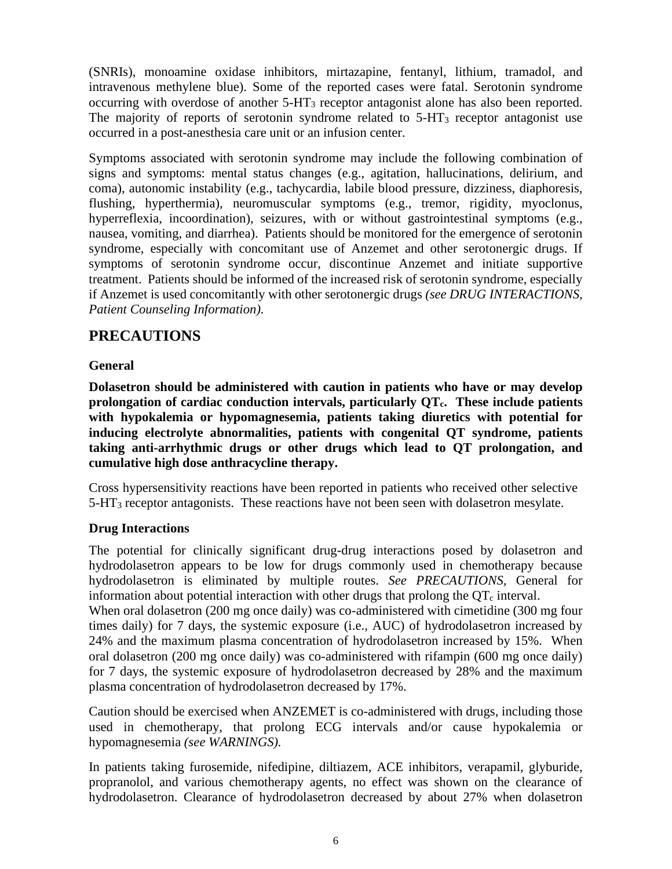(SNRIs), monoamine oxidase inhibitors, mirtazapine, fentanyl, lithium, tramadol, and intravenous methylene blue). Some of the reported cases were fatal. Serotonin syndrome occurring with overdose of another 5-HT3 receptor antagonist alone has also been reported. The majority of reports of serotonin syndrome related to  $5-HT<sub>3</sub>$  receptor antagonist use occurred in a post-anesthesia care unit or an infusion center.

Symptoms associated with serotonin syndrome may include the following combination of signs and symptoms: mental status changes (e.g., agitation, hallucinations, delirium, and coma), autonomic instability (e.g., tachycardia, labile blood pressure, dizziness, diaphoresis, flushing, hyperthermia), neuromuscular symptoms (e.g., tremor, rigidity, myoclonus, hyperreflexia, incoordination), seizures, with or without gastrointestinal symptoms (e.g., nausea, vomiting, and diarrhea). Patients should be monitored for the emergence of serotonin syndrome, especially with concomitant use of Anzemet and other serotonergic drugs. If symptoms of serotonin syndrome occur, discontinue Anzemet and initiate supportive treatment. Patients should be informed of the increased risk of serotonin syndrome, especially if Anzemet is used concomitantly with other serotonergic drugs *(see DRUG INTERACTIONS, Patient Counseling Information).*

### **PRECAUTIONS**

### **General**

**Dolasetron should be administered with caution in patients who have or may develop prolongation of cardiac conduction intervals, particularly QTc. These include patients with hypokalemia or hypomagnesemia, patients taking diuretics with potential for inducing electrolyte abnormalities, patients with congenital QT syndrome, patients taking anti-arrhythmic drugs or other drugs which lead to QT prolongation, and cumulative high dose anthracycline therapy.**

Cross hypersensitivity reactions have been reported in patients who received other selective  $5-\text{HT}_3$  receptor antagonists. These reactions have not been seen with dolasetron mesylate.

### **Drug Interactions**

The potential for clinically significant drug-drug interactions posed by dolasetron and hydrodolasetron appears to be low for drugs commonly used in chemotherapy because hydrodolasetron is eliminated by multiple routes. *See PRECAUTIONS,* General for information about potential interaction with other drugs that prolong the  $\overline{OT_c}$  interval.

When oral dolasetron (200 mg once daily) was co-administered with cimetidine (300 mg four times daily) for 7 days, the systemic exposure (i.e., AUC) of hydrodolasetron increased by 24% and the maximum plasma concentration of hydrodolasetron increased by 15%. When oral dolasetron (200 mg once daily) was co-administered with rifampin (600 mg once daily) for 7 days, the systemic exposure of hydrodolasetron decreased by 28% and the maximum plasma concentration of hydrodolasetron decreased by 17%.

Caution should be exercised when ANZEMET is co-administered with drugs, including those used in chemotherapy, that prolong ECG intervals and/or cause hypokalemia or hypomagnesemia *(see WARNINGS).*

In patients taking furosemide, nifedipine, diltiazem, ACE inhibitors, verapamil, glyburide, propranolol, and various chemotherapy agents, no effect was shown on the clearance of hydrodolasetron. Clearance of hydrodolasetron decreased by about 27% when dolasetron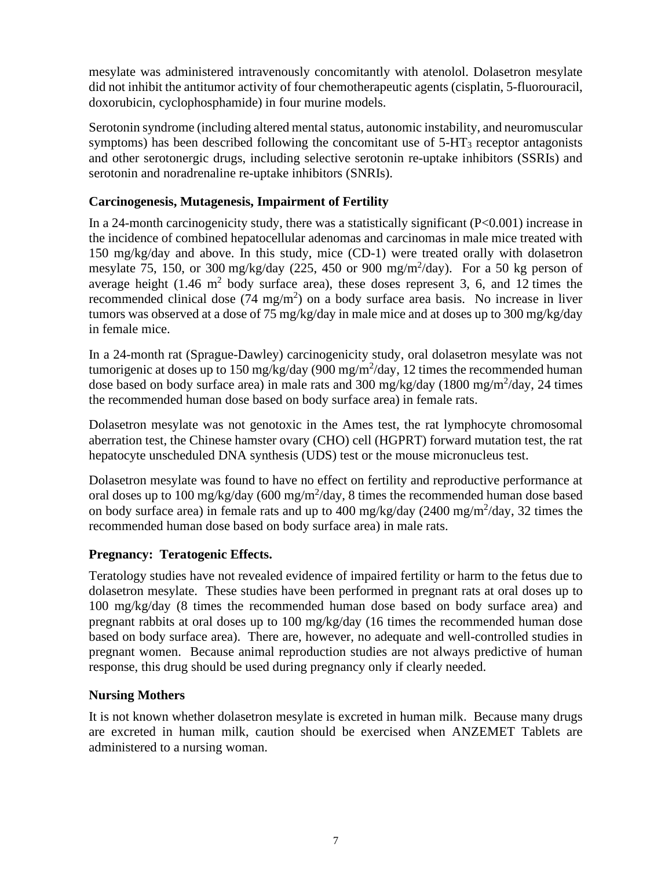mesylate was administered intravenously concomitantly with atenolol. Dolasetron mesylate did not inhibit the antitumor activity of four chemotherapeutic agents (cisplatin, 5-fluorouracil, doxorubicin, cyclophosphamide) in four murine models.

Serotonin syndrome (including altered mental status, autonomic instability, and neuromuscular symptoms) has been described following the concomitant use of  $5-\text{HT}_3$  receptor antagonists and other serotonergic drugs, including selective serotonin re-uptake inhibitors (SSRIs) and serotonin and noradrenaline re-uptake inhibitors (SNRIs).

### **Carcinogenesis, Mutagenesis, Impairment of Fertility**

In a 24-month carcinogenicity study, there was a statistically significant  $(P<0.001)$  increase in the incidence of combined hepatocellular adenomas and carcinomas in male mice treated with 150 mg/kg/day and above. In this study, mice (CD-1) were treated orally with dolasetron mesylate 75, 150, or 300 mg/kg/day (225, 450 or 900 mg/m2 /day). For a 50 kg person of average height  $(1.46 \text{ m}^2)$  body surface area), these doses represent 3, 6, and 12 times the recommended clinical dose  $(74 \text{ mg/m}^2)$  on a body surface area basis. No increase in liver tumors was observed at a dose of 75 mg/kg/day in male mice and at doses up to 300 mg/kg/day in female mice.

In a 24-month rat (Sprague-Dawley) carcinogenicity study, oral dolasetron mesylate was not tumorigenic at doses up to 150 mg/kg/day (900 mg/m<sup>2</sup>/day, 12 times the recommended human dose based on body surface area) in male rats and 300 mg/kg/day (1800 mg/m<sup>2</sup>/day, 24 times the recommended human dose based on body surface area) in female rats.

Dolasetron mesylate was not genotoxic in the Ames test, the rat lymphocyte chromosomal aberration test, the Chinese hamster ovary (CHO) cell (HGPRT) forward mutation test, the rat hepatocyte unscheduled DNA synthesis (UDS) test or the mouse micronucleus test.

Dolasetron mesylate was found to have no effect on fertility and reproductive performance at oral doses up to 100 mg/kg/day (600 mg/m<sup>2</sup>/day, 8 times the recommended human dose based on body surface area) in female rats and up to 400 mg/kg/day (2400 mg/m<sup>2</sup>/day, 32 times the recommended human dose based on body surface area) in male rats.

#### **Pregnancy: Teratogenic Effects.**

Teratology studies have not revealed evidence of impaired fertility or harm to the fetus due to dolasetron mesylate. These studies have been performed in pregnant rats at oral doses up to 100 mg/kg/day (8 times the recommended human dose based on body surface area) and pregnant rabbits at oral doses up to 100 mg/kg/day (16 times the recommended human dose based on body surface area). There are, however, no adequate and well-controlled studies in pregnant women. Because animal reproduction studies are not always predictive of human response, this drug should be used during pregnancy only if clearly needed.

#### **Nursing Mothers**

It is not known whether dolasetron mesylate is excreted in human milk. Because many drugs are excreted in human milk, caution should be exercised when ANZEMET Tablets are administered to a nursing woman.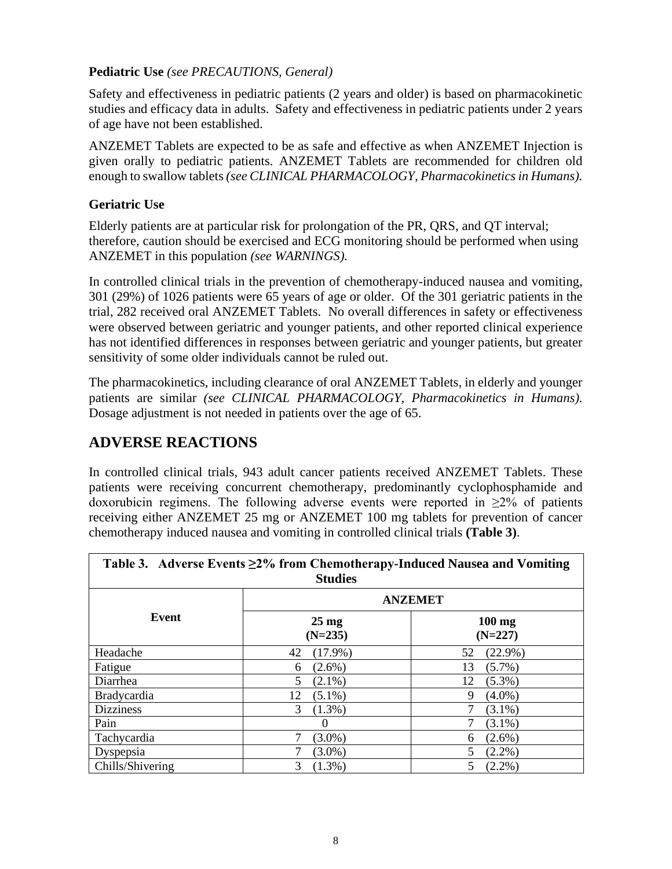### **Pediatric Use** *(see PRECAUTIONS, General)*

Safety and effectiveness in pediatric patients (2 years and older) is based on pharmacokinetic studies and efficacy data in adults. Safety and effectiveness in pediatric patients under 2 years of age have not been established.

ANZEMET Tablets are expected to be as safe and effective as when ANZEMET Injection is given orally to pediatric patients. ANZEMET Tablets are recommended for children old enough to swallow tablets *(see CLINICAL PHARMACOLOGY, Pharmacokinetics in Humans).*

### **Geriatric Use**

Elderly patients are at particular risk for prolongation of the PR, QRS, and QT interval; therefore, caution should be exercised and ECG monitoring should be performed when using ANZEMET in this population *(see WARNINGS).*

In controlled clinical trials in the prevention of chemotherapy-induced nausea and vomiting, 301 (29%) of 1026 patients were 65 years of age or older. Of the 301 geriatric patients in the trial, 282 received oral ANZEMET Tablets. No overall differences in safety or effectiveness were observed between geriatric and younger patients, and other reported clinical experience has not identified differences in responses between geriatric and younger patients, but greater sensitivity of some older individuals cannot be ruled out.

The pharmacokinetics, including clearance of oral ANZEMET Tablets, in elderly and younger patients are similar *(see CLINICAL PHARMACOLOGY, Pharmacokinetics in Humans).* Dosage adjustment is not needed in patients over the age of 65.

## **ADVERSE REACTIONS**

In controlled clinical trials, 943 adult cancer patients received ANZEMET Tablets. These patients were receiving concurrent chemotherapy, predominantly cyclophosphamide and doxorubicin regimens. The following adverse events were reported in  $\geq 2\%$  of patients receiving either ANZEMET 25 mg or ANZEMET 100 mg tablets for prevention of cancer chemotherapy induced nausea and vomiting in controlled clinical trials **(Table 3)**.

| Table 3. Adverse Events $\geq$ 2% from Chemotherapy-Induced Nausea and Vomiting<br><b>Studies</b> |                              |                               |  |  |
|---------------------------------------------------------------------------------------------------|------------------------------|-------------------------------|--|--|
| Event                                                                                             | <b>ANZEMET</b>               |                               |  |  |
|                                                                                                   | $25 \text{ mg}$<br>$(N=235)$ | $100 \text{ mg}$<br>$(N=227)$ |  |  |
| Headache                                                                                          | 42<br>$(17.9\%)$             | 52<br>$(22.9\%)$              |  |  |
| Fatigue                                                                                           | $(2.6\%)$<br>6               | $(5.7\%)$<br>13               |  |  |
| Diarrhea                                                                                          | 5<br>$(2.1\%)$               | $(5.3\%)$<br>12               |  |  |
| <b>Bradycardia</b>                                                                                | $(5.1\%)$<br>12              | $(4.0\%)$<br>9                |  |  |
| <b>Dizziness</b>                                                                                  | 3<br>$(1.3\%)$               | $(3.1\%)$                     |  |  |
| Pain                                                                                              | $\Omega$                     | $(3.1\%)$                     |  |  |
| Tachycardia                                                                                       | $(3.0\%)$                    | $(2.6\%)$<br>6                |  |  |
| Dyspepsia                                                                                         | $(3.0\%)$                    | 5<br>$(2.2\%)$                |  |  |
| Chills/Shivering                                                                                  | 3<br>$(1.3\%)$               | 5<br>$(2.2\%)$                |  |  |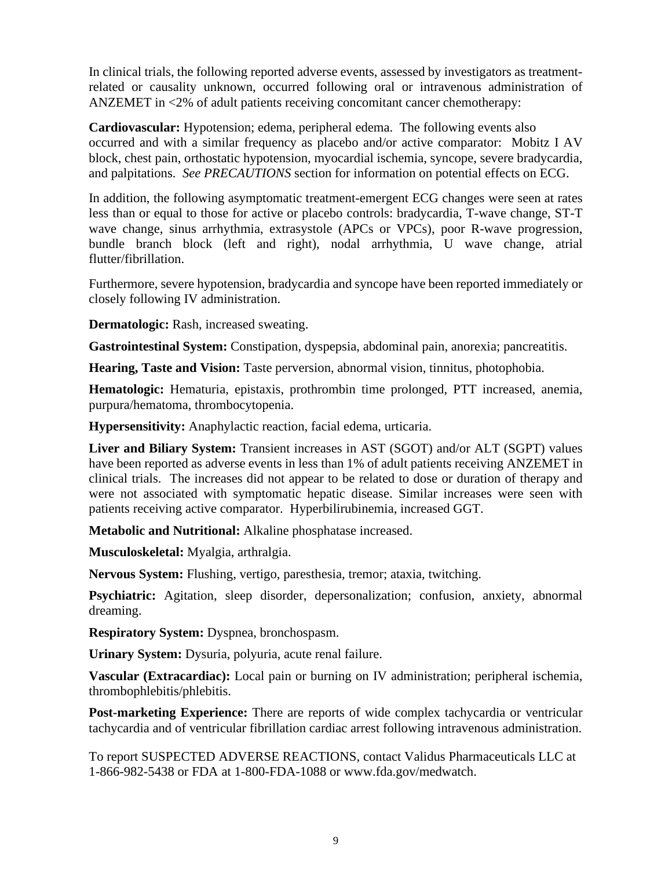In clinical trials, the following reported adverse events, assessed by investigators as treatmentrelated or causality unknown, occurred following oral or intravenous administration of ANZEMET in <2% of adult patients receiving concomitant cancer chemotherapy:

**Cardiovascular:** Hypotension; edema, peripheral edema. The following events also occurred and with a similar frequency as placebo and/or active comparator: Mobitz I AV block, chest pain, orthostatic hypotension, myocardial ischemia, syncope, severe bradycardia, and palpitations. *See PRECAUTIONS* section for information on potential effects on ECG.

In addition, the following asymptomatic treatment-emergent ECG changes were seen at rates less than or equal to those for active or placebo controls: bradycardia, T-wave change, ST-T wave change, sinus arrhythmia, extrasystole (APCs or VPCs), poor R-wave progression, bundle branch block (left and right), nodal arrhythmia, U wave change, atrial flutter/fibrillation.

Furthermore, severe hypotension, bradycardia and syncope have been reported immediately or closely following IV administration.

**Dermatologic:** Rash, increased sweating.

**Gastrointestinal System:** Constipation, dyspepsia, abdominal pain, anorexia; pancreatitis.

**Hearing, Taste and Vision:** Taste perversion, abnormal vision, tinnitus, photophobia.

**Hematologic:** Hematuria, epistaxis, prothrombin time prolonged, PTT increased, anemia, purpura/hematoma, thrombocytopenia.

**Hypersensitivity:** Anaphylactic reaction, facial edema, urticaria.

**Liver and Biliary System:** Transient increases in AST (SGOT) and/or ALT (SGPT) values have been reported as adverse events in less than 1% of adult patients receiving ANZEMET in clinical trials. The increases did not appear to be related to dose or duration of therapy and were not associated with symptomatic hepatic disease. Similar increases were seen with patients receiving active comparator. Hyperbilirubinemia, increased GGT.

**Metabolic and Nutritional:** Alkaline phosphatase increased.

**Musculoskeletal:** Myalgia, arthralgia.

**Nervous System:** Flushing, vertigo, paresthesia, tremor; ataxia, twitching.

**Psychiatric:** Agitation, sleep disorder, depersonalization; confusion, anxiety, abnormal dreaming.

**Respiratory System:** Dyspnea, bronchospasm.

**Urinary System:** Dysuria, polyuria, acute renal failure.

**Vascular (Extracardiac):** Local pain or burning on IV administration; peripheral ischemia, thrombophlebitis/phlebitis.

**Post-marketing Experience:** There are reports of wide complex tachycardia or ventricular tachycardia and of ventricular fibrillation cardiac arrest following intravenous administration.

To report SUSPECTED ADVERSE REACTIONS, contact Validus Pharmaceuticals LLC at 1-866-982-5438 or FDA at 1-800-FDA-1088 or www.fda.gov/medwatch.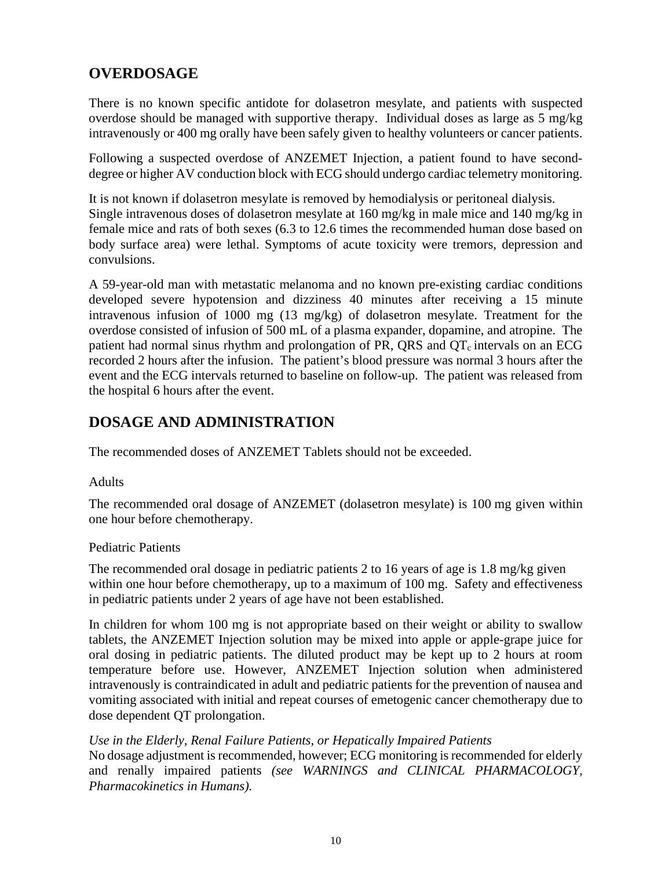# **OVERDOSAGE**

There is no known specific antidote for dolasetron mesylate, and patients with suspected overdose should be managed with supportive therapy. Individual doses as large as 5 mg/kg intravenously or 400 mg orally have been safely given to healthy volunteers or cancer patients.

Following a suspected overdose of ANZEMET Injection, a patient found to have seconddegree or higher AV conduction block with ECG should undergo cardiac telemetry monitoring.

It is not known if dolasetron mesylate is removed by hemodialysis or peritoneal dialysis. Single intravenous doses of dolasetron mesylate at 160 mg/kg in male mice and 140 mg/kg in female mice and rats of both sexes (6.3 to 12.6 times the recommended human dose based on body surface area) were lethal. Symptoms of acute toxicity were tremors, depression and convulsions.

A 59-year-old man with metastatic melanoma and no known pre-existing cardiac conditions developed severe hypotension and dizziness 40 minutes after receiving a 15 minute intravenous infusion of 1000 mg (13 mg/kg) of dolasetron mesylate. Treatment for the overdose consisted of infusion of 500 mL of a plasma expander, dopamine, and atropine. The patient had normal sinus rhythm and prolongation of PR, QRS and  $QT<sub>c</sub>$  intervals on an ECG recorded 2 hours after the infusion. The patient's blood pressure was normal 3 hours after the event and the ECG intervals returned to baseline on follow-up. The patient was released from the hospital 6 hours after the event.

### **DOSAGE AND ADMINISTRATION**

The recommended doses of ANZEMET Tablets should not be exceeded.

#### **Adults**

The recommended oral dosage of ANZEMET (dolasetron mesylate) is 100 mg given within one hour before chemotherapy.

#### Pediatric Patients

The recommended oral dosage in pediatric patients 2 to 16 years of age is 1.8 mg/kg given within one hour before chemotherapy, up to a maximum of 100 mg. Safety and effectiveness in pediatric patients under 2 years of age have not been established.

In children for whom 100 mg is not appropriate based on their weight or ability to swallow tablets, the ANZEMET Injection solution may be mixed into apple or apple-grape juice for oral dosing in pediatric patients. The diluted product may be kept up to 2 hours at room temperature before use. However, ANZEMET Injection solution when administered intravenously is contraindicated in adult and pediatric patients for the prevention of nausea and vomiting associated with initial and repeat courses of emetogenic cancer chemotherapy due to dose dependent QT prolongation.

#### *Use in the Elderly, Renal Failure Patients, or Hepatically Impaired Patients*

No dosage adjustment is recommended, however; ECG monitoring is recommended for elderly and renally impaired patients *(see WARNINGS and CLINICAL PHARMACOLOGY, Pharmacokinetics in Humans).*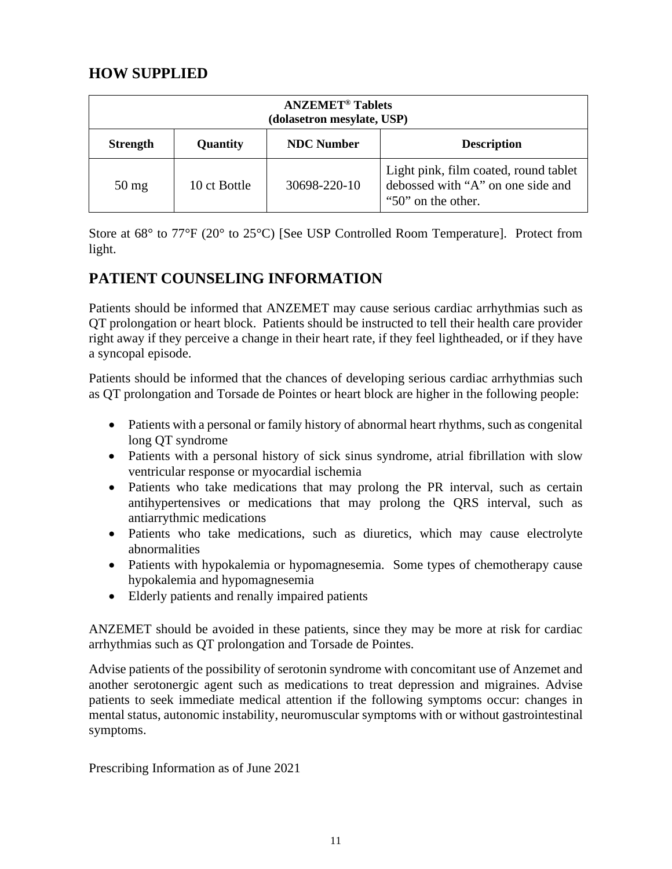# **HOW SUPPLIED**

| <b>ANZEMET<sup>®</sup></b> Tablets<br>(dolasetron mesylate, USP) |              |                   |                                                                                                  |  |
|------------------------------------------------------------------|--------------|-------------------|--------------------------------------------------------------------------------------------------|--|
| <b>Strength</b>                                                  | Quantity     | <b>NDC</b> Number | <b>Description</b>                                                                               |  |
| $50 \,\mathrm{mg}$                                               | 10 ct Bottle | 30698-220-10      | Light pink, film coated, round tablet<br>debossed with "A" on one side and<br>"50" on the other. |  |

Store at 68° to 77°F (20° to 25°C) [See USP Controlled Room Temperature]. Protect from light.

# **PATIENT COUNSELING INFORMATION**

Patients should be informed that ANZEMET may cause serious cardiac arrhythmias such as QT prolongation or heart block. Patients should be instructed to tell their health care provider right away if they perceive a change in their heart rate, if they feel lightheaded, or if they have a syncopal episode.

Patients should be informed that the chances of developing serious cardiac arrhythmias such as QT prolongation and Torsade de Pointes or heart block are higher in the following people:

- Patients with a personal or family history of abnormal heart rhythms, such as congenital long QT syndrome
- Patients with a personal history of sick sinus syndrome, atrial fibrillation with slow ventricular response or myocardial ischemia
- Patients who take medications that may prolong the PR interval, such as certain antihypertensives or medications that may prolong the QRS interval, such as antiarrythmic medications
- Patients who take medications, such as diuretics, which may cause electrolyte abnormalities
- Patients with hypokalemia or hypomagnesemia. Some types of chemotherapy cause hypokalemia and hypomagnesemia
- Elderly patients and renally impaired patients

ANZEMET should be avoided in these patients, since they may be more at risk for cardiac arrhythmias such as QT prolongation and Torsade de Pointes.

Advise patients of the possibility of serotonin syndrome with concomitant use of Anzemet and another serotonergic agent such as medications to treat depression and migraines. Advise patients to seek immediate medical attention if the following symptoms occur: changes in mental status, autonomic instability, neuromuscular symptoms with or without gastrointestinal symptoms.

Prescribing Information as of June 2021